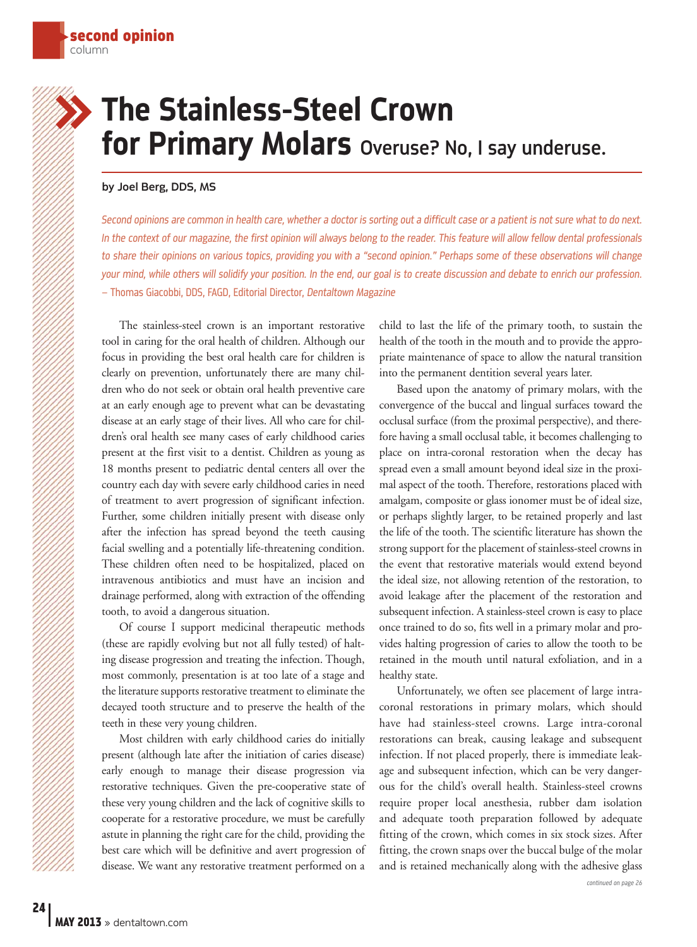## The Stainless-Steel Crown for Primary Molars Overuse? No, I say underuse. »

## by Joel Berg, DDS, MS

Second opinions are common in health care, whether a doctor is sorting out a difficult case or a patient is not sure what to do next. In the context of our magazine, the first opinion will always belong to the reader. This feature will allow fellow dental professionals to share their opinions on various topics, providing you with a "second opinion." Perhaps some of these observations will change your mind, while others will solidify your position. In the end, our goal is to create discussion and debate to enrich our profession. – Thomas Giacobbi, DDS, FAGD, Editorial Director, Dentaltown Magazine

The stainless-steel crown is an important restorative tool in caring for the oral health of children. Although our focus in providing the best oral health care for children is clearly on prevention, unfortunately there are many children who do not seek or obtain oral health preventive care at an early enough age to prevent what can be devastating disease at an early stage of their lives. All who care for children's oral health see many cases of early childhood caries present at the first visit to a dentist. Children as young as 18 months present to pediatric dental centers all over the country each day with severe early childhood caries in need of treatment to avert progression of significant infection. Further, some children initially present with disease only after the infection has spread beyond the teeth causing facial swelling and a potentially life-threatening condition. These children often need to be hospitalized, placed on intravenous antibiotics and must have an incision and drainage performed, along with extraction of the offending tooth, to avoid a dangerous situation.

Of course I support medicinal therapeutic methods (these are rapidly evolving but not all fully tested) of halting disease progression and treating the infection. Though, most commonly, presentation is at too late of a stage and the literature supports restorative treatment to eliminate the decayed tooth structure and to preserve the health of the teeth in these very young children.

Most children with early childhood caries do initially present (although late after the initiation of caries disease) early enough to manage their disease progression via restorative techniques. Given the pre-cooperative state of these very young children and the lack of cognitive skills to cooperate for a restorative procedure, we must be carefully astute in planning the right care for the child, providing the best care which will be definitive and avert progression of disease. We want any restorative treatment performed on a

child to last the life of the primary tooth, to sustain the health of the tooth in the mouth and to provide the appropriate maintenance of space to allow the natural transition into the permanent dentition several years later.

Based upon the anatomy of primary molars, with the convergence of the buccal and lingual surfaces toward the occlusal surface (from the proximal perspective), and therefore having a small occlusal table, it becomes challenging to place on intra-coronal restoration when the decay has spread even a small amount beyond ideal size in the proximal aspect of the tooth. Therefore, restorations placed with amalgam, composite or glass ionomer must be of ideal size, or perhaps slightly larger, to be retained properly and last the life of the tooth. The scientific literature has shown the strong support for the placement of stainless-steel crowns in the event that restorative materials would extend beyond the ideal size, not allowing retention of the restoration, to avoid leakage after the placement of the restoration and subsequent infection. A stainless-steel crown is easy to place once trained to do so, fits well in a primary molar and provides halting progression of caries to allow the tooth to be retained in the mouth until natural exfoliation, and in a healthy state.

continued on page 26 Unfortunately, we often see placement of large intracoronal restorations in primary molars, which should have had stainless-steel crowns. Large intra-coronal restorations can break, causing leakage and subsequent infection. If not placed properly, there is immediate leakage and subsequent infection, which can be very dangerous for the child's overall health. Stainless-steel crowns require proper local anesthesia, rubber dam isolation and adequate tooth preparation followed by adequate fitting of the crown, which comes in six stock sizes. After fitting, the crown snaps over the buccal bulge of the molar and is retained mechanically along with the adhesive glass